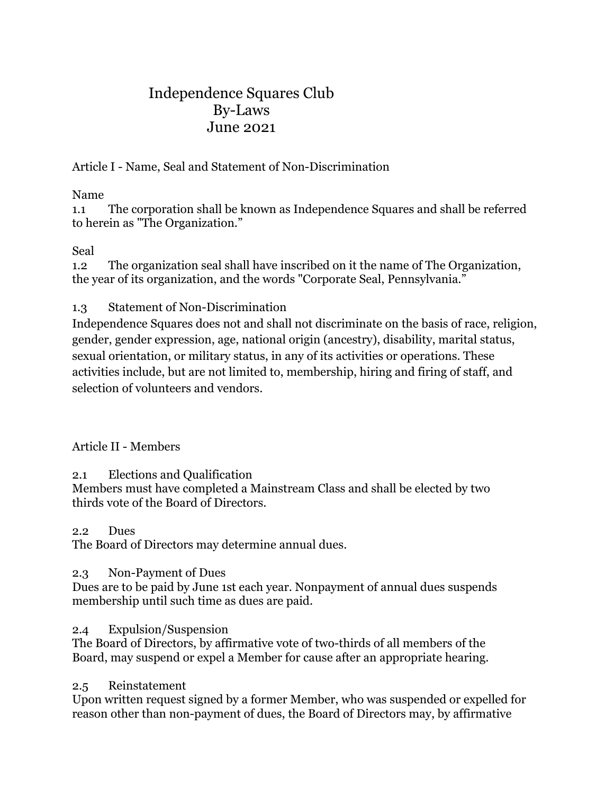# Independence Squares Club By-Laws June 2021

Article I - Name, Seal and Statement of Non-Discrimination

## Name

1.1 The corporation shall be known as Independence Squares and shall be referred to herein as "The Organization."

# Seal

1.2 The organization seal shall have inscribed on it the name of The Organization, the year of its organization, and the words "Corporate Seal, Pennsylvania."

# 1.3 Statement of Non-Discrimination

Independence Squares does not and shall not discriminate on the basis of race, religion, gender, gender expression, age, national origin (ancestry), disability, marital status, sexual orientation, or military status, in any of its activities or operations. These activities include, but are not limited to, membership, hiring and firing of staff, and selection of volunteers and vendors.

# Article II - Members

# 2.1 Elections and Qualification

Members must have completed a Mainstream Class and shall be elected by two thirds vote of the Board of Directors.

### 2.2 Dues

The Board of Directors may determine annual dues.

### 2.3 Non-Payment of Dues

Dues are to be paid by June 1st each year. Nonpayment of annual dues suspends membership until such time as dues are paid.

### 2.4 Expulsion/Suspension

The Board of Directors, by affirmative vote of two-thirds of all members of the Board, may suspend or expel a Member for cause after an appropriate hearing.

### 2.5 Reinstatement

Upon written request signed by a former Member, who was suspended or expelled for reason other than non-payment of dues, the Board of Directors may, by affirmative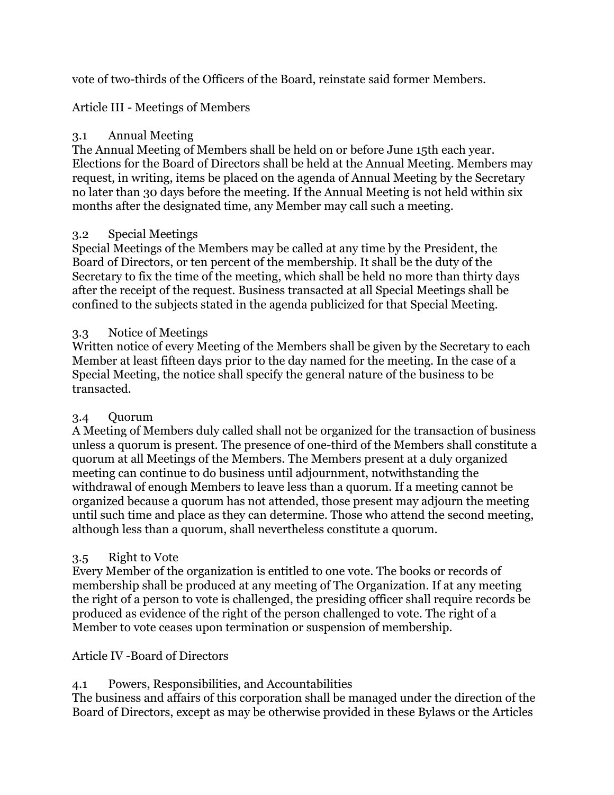vote of two-thirds of the Officers of the Board, reinstate said former Members.

Article III - Meetings of Members

# 3.1 Annual Meeting

The Annual Meeting of Members shall be held on or before June 15th each year. Elections for the Board of Directors shall be held at the Annual Meeting. Members may request, in writing, items be placed on the agenda of Annual Meeting by the Secretary no later than 30 days before the meeting. If the Annual Meeting is not held within six months after the designated time, any Member may call such a meeting.

### 3.2 Special Meetings

Special Meetings of the Members may be called at any time by the President, the Board of Directors, or ten percent of the membership. It shall be the duty of the Secretary to fix the time of the meeting, which shall be held no more than thirty days after the receipt of the request. Business transacted at all Special Meetings shall be confined to the subjects stated in the agenda publicized for that Special Meeting.

## 3.3 Notice of Meetings

Written notice of every Meeting of the Members shall be given by the Secretary to each Member at least fifteen days prior to the day named for the meeting. In the case of a Special Meeting, the notice shall specify the general nature of the business to be transacted.

# 3.4 Quorum

A Meeting of Members duly called shall not be organized for the transaction of business unless a quorum is present. The presence of one-third of the Members shall constitute a quorum at all Meetings of the Members. The Members present at a duly organized meeting can continue to do business until adjournment, notwithstanding the withdrawal of enough Members to leave less than a quorum. If a meeting cannot be organized because a quorum has not attended, those present may adjourn the meeting until such time and place as they can determine. Those who attend the second meeting, although less than a quorum, shall nevertheless constitute a quorum.

# 3.5 Right to Vote

Every Member of the organization is entitled to one vote. The books or records of membership shall be produced at any meeting of The Organization. If at any meeting the right of a person to vote is challenged, the presiding officer shall require records be produced as evidence of the right of the person challenged to vote. The right of a Member to vote ceases upon termination or suspension of membership.

### Article IV -Board of Directors

# 4.1 Powers, Responsibilities, and Accountabilities

The business and affairs of this corporation shall be managed under the direction of the Board of Directors, except as may be otherwise provided in these Bylaws or the Articles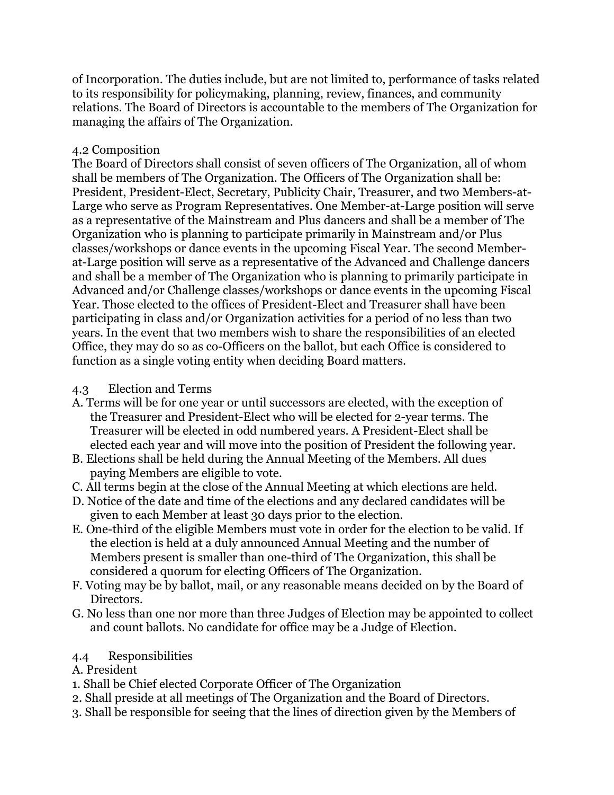of Incorporation. The duties include, but are not limited to, performance of tasks related to its responsibility for policymaking, planning, review, finances, and community relations. The Board of Directors is accountable to the members of The Organization for managing the affairs of The Organization.

### 4.2 Composition

The Board of Directors shall consist of seven officers of The Organization, all of whom shall be members of The Organization. The Officers of The Organization shall be: President, President-Elect, Secretary, Publicity Chair, Treasurer, and two Members-at-Large who serve as Program Representatives. One Member-at-Large position will serve as a representative of the Mainstream and Plus dancers and shall be a member of The Organization who is planning to participate primarily in Mainstream and/or Plus classes/workshops or dance events in the upcoming Fiscal Year. The second Memberat-Large position will serve as a representative of the Advanced and Challenge dancers and shall be a member of The Organization who is planning to primarily participate in Advanced and/or Challenge classes/workshops or dance events in the upcoming Fiscal Year. Those elected to the offices of President-Elect and Treasurer shall have been participating in class and/or Organization activities for a period of no less than two years. In the event that two members wish to share the responsibilities of an elected Office, they may do so as co-Officers on the ballot, but each Office is considered to function as a single voting entity when deciding Board matters.

### 4.3 Election and Terms

- A. Terms will be for one year or until successors are elected, with the exception of the Treasurer and President-Elect who will be elected for 2-year terms. The Treasurer will be elected in odd numbered years. A President-Elect shall be elected each year and will move into the position of President the following year.
- B. Elections shall be held during the Annual Meeting of the Members. All dues paying Members are eligible to vote.
- C. All terms begin at the close of the Annual Meeting at which elections are held.
- D. Notice of the date and time of the elections and any declared candidates will be given to each Member at least 30 days prior to the election.
- E. One-third of the eligible Members must vote in order for the election to be valid. If the election is held at a duly announced Annual Meeting and the number of Members present is smaller than one-third of The Organization, this shall be considered a quorum for electing Officers of The Organization.
- F. Voting may be by ballot, mail, or any reasonable means decided on by the Board of Directors.
- G. No less than one nor more than three Judges of Election may be appointed to collect and count ballots. No candidate for office may be a Judge of Election.

### 4.4 Responsibilities

- A. President
- 1. Shall be Chief elected Corporate Officer of The Organization
- 2. Shall preside at all meetings of The Organization and the Board of Directors.
- 3. Shall be responsible for seeing that the lines of direction given by the Members of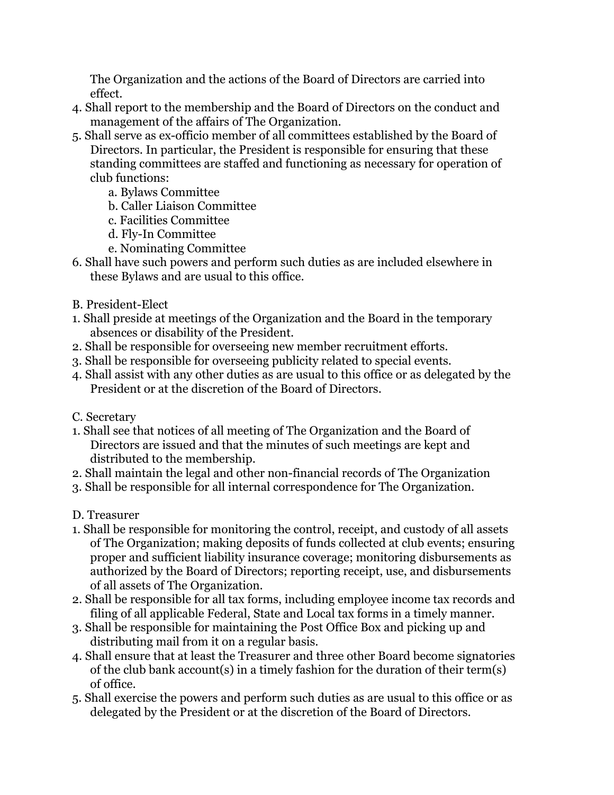The Organization and the actions of the Board of Directors are carried into effect.

- 4. Shall report to the membership and the Board of Directors on the conduct and management of the affairs of The Organization.
- 5. Shall serve as ex-officio member of all committees established by the Board of Directors. In particular, the President is responsible for ensuring that these standing committees are staffed and functioning as necessary for operation of club functions:
	- a. Bylaws Committee
	- b. Caller Liaison Committee
	- c. Facilities Committee
	- d. Fly-In Committee
	- e. Nominating Committee
- 6. Shall have such powers and perform such duties as are included elsewhere in these Bylaws and are usual to this office.
- B. President-Elect
- 1. Shall preside at meetings of the Organization and the Board in the temporary absences or disability of the President.
- 2. Shall be responsible for overseeing new member recruitment efforts.
- 3. Shall be responsible for overseeing publicity related to special events.
- 4. Shall assist with any other duties as are usual to this office or as delegated by the President or at the discretion of the Board of Directors.
- C. Secretary
- 1. Shall see that notices of all meeting of The Organization and the Board of Directors are issued and that the minutes of such meetings are kept and distributed to the membership.
- 2. Shall maintain the legal and other non-financial records of The Organization
- 3. Shall be responsible for all internal correspondence for The Organization.
- D. Treasurer
- 1. Shall be responsible for monitoring the control, receipt, and custody of all assets of The Organization; making deposits of funds collected at club events; ensuring proper and sufficient liability insurance coverage; monitoring disbursements as authorized by the Board of Directors; reporting receipt, use, and disbursements of all assets of The Organization.
- 2. Shall be responsible for all tax forms, including employee income tax records and filing of all applicable Federal, State and Local tax forms in a timely manner.
- 3. Shall be responsible for maintaining the Post Office Box and picking up and distributing mail from it on a regular basis.
- 4. Shall ensure that at least the Treasurer and three other Board become signatories of the club bank account(s) in a timely fashion for the duration of their term(s) of office.
- 5. Shall exercise the powers and perform such duties as are usual to this office or as delegated by the President or at the discretion of the Board of Directors.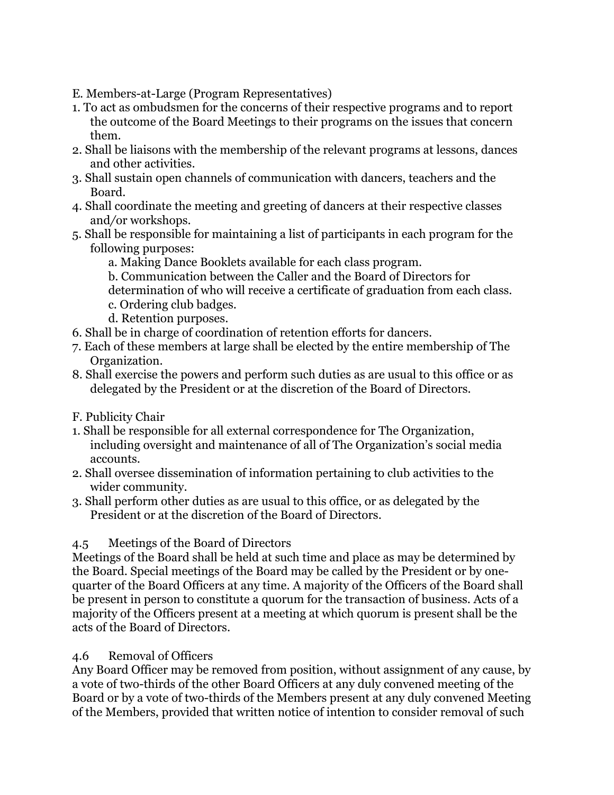- E. Members-at-Large (Program Representatives)
- 1. To act as ombudsmen for the concerns of their respective programs and to report the outcome of the Board Meetings to their programs on the issues that concern them.
- 2. Shall be liaisons with the membership of the relevant programs at lessons, dances and other activities.
- 3. Shall sustain open channels of communication with dancers, teachers and the Board.
- 4. Shall coordinate the meeting and greeting of dancers at their respective classes and*/*or workshops.
- 5. Shall be responsible for maintaining a list of participants in each program for the following purposes:
	- a. Making Dance Booklets available for each class program.
	- b. Communication between the Caller and the Board of Directors for
	- determination of who will receive a certificate of graduation from each class.
	- c. Ordering club badges.
	- d. Retention purposes.
- 6. Shall be in charge of coordination of retention efforts for dancers.
- 7. Each of these members at large shall be elected by the entire membership of The Organization.
- 8. Shall exercise the powers and perform such duties as are usual to this office or as delegated by the President or at the discretion of the Board of Directors.
- F. Publicity Chair
- 1. Shall be responsible for all external correspondence for The Organization, including oversight and maintenance of all of The Organization's social media accounts.
- 2. Shall oversee dissemination of information pertaining to club activities to the wider community.
- 3. Shall perform other duties as are usual to this office, or as delegated by the President or at the discretion of the Board of Directors.

### 4.5 Meetings of the Board of Directors

Meetings of the Board shall be held at such time and place as may be determined by the Board. Special meetings of the Board may be called by the President or by onequarter of the Board Officers at any time. A majority of the Officers of the Board shall be present in person to constitute a quorum for the transaction of business. Acts of a majority of the Officers present at a meeting at which quorum is present shall be the acts of the Board of Directors.

### 4.6 Removal of Officers

Any Board Officer may be removed from position, without assignment of any cause, by a vote of two-thirds of the other Board Officers at any duly convened meeting of the Board or by a vote of two-thirds of the Members present at any duly convened Meeting of the Members, provided that written notice of intention to consider removal of such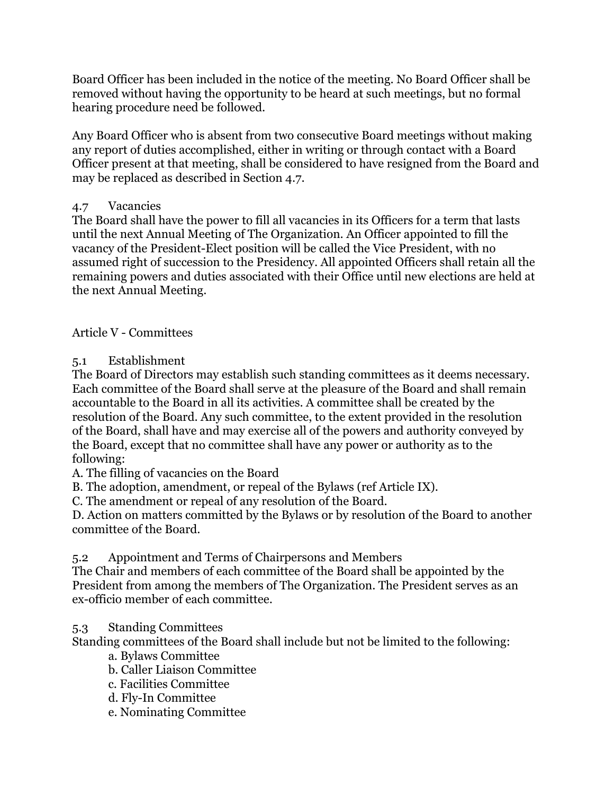Board Officer has been included in the notice of the meeting. No Board Officer shall be removed without having the opportunity to be heard at such meetings, but no formal hearing procedure need be followed.

Any Board Officer who is absent from two consecutive Board meetings without making any report of duties accomplished, either in writing or through contact with a Board Officer present at that meeting, shall be considered to have resigned from the Board and may be replaced as described in Section 4.7.

### 4.7 Vacancies

The Board shall have the power to fill all vacancies in its Officers for a term that lasts until the next Annual Meeting of The Organization. An Officer appointed to fill the vacancy of the President-Elect position will be called the Vice President, with no assumed right of succession to the Presidency. All appointed Officers shall retain all the remaining powers and duties associated with their Office until new elections are held at the next Annual Meeting.

Article V - Committees

### 5.1 Establishment

The Board of Directors may establish such standing committees as it deems necessary. Each committee of the Board shall serve at the pleasure of the Board and shall remain accountable to the Board in all its activities. A committee shall be created by the resolution of the Board. Any such committee, to the extent provided in the resolution of the Board, shall have and may exercise all of the powers and authority conveyed by the Board, except that no committee shall have any power or authority as to the following:

A. The filling of vacancies on the Board

B. The adoption, amendment, or repeal of the Bylaws (ref Article IX).

C. The amendment or repeal of any resolution of the Board.

D. Action on matters committed by the Bylaws or by resolution of the Board to another committee of the Board.

5.2 Appointment and Terms of Chairpersons and Members

The Chair and members of each committee of the Board shall be appointed by the President from among the members of The Organization. The President serves as an ex-officio member of each committee.

### 5.3 Standing Committees

Standing committees of the Board shall include but not be limited to the following:

- a. Bylaws Committee
- b. Caller Liaison Committee
- c. Facilities Committee
- d. Fly-In Committee
- e. Nominating Committee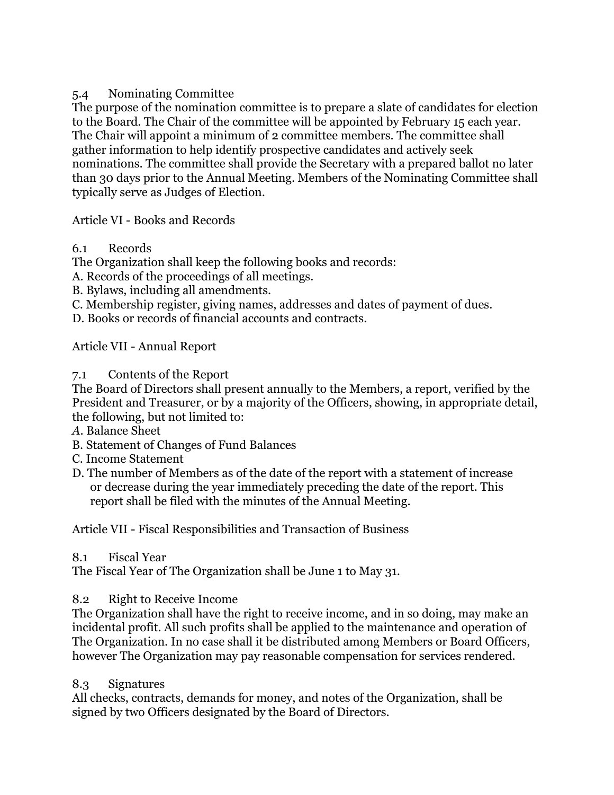### 5.4 Nominating Committee

The purpose of the nomination committee is to prepare a slate of candidates for election to the Board. The Chair of the committee will be appointed by February 15 each year. The Chair will appoint a minimum of 2 committee members. The committee shall gather information to help identify prospective candidates and actively seek nominations. The committee shall provide the Secretary with a prepared ballot no later than 30 days prior to the Annual Meeting. Members of the Nominating Committee shall typically serve as Judges of Election.

### Article VI - Books and Records

### 6.1 Records

The Organization shall keep the following books and records:

A. Records of the proceedings of all meetings.

- B. Bylaws, including all amendments.
- C. Membership register, giving names, addresses and dates of payment of dues.

D. Books or records of financial accounts and contracts.

Article VII - Annual Report

### 7.1 Contents of the Report

The Board of Directors shall present annually to the Members, a report, verified by the President and Treasurer, or by a majority of the Officers, showing, in appropriate detail, the following, but not limited to:

- *A*. Balance Sheet
- B. Statement of Changes of Fund Balances
- C. Income Statement
- D. The number of Members as of the date of the report with a statement of increase or decrease during the year immediately preceding the date of the report. This report shall be filed with the minutes of the Annual Meeting.

Article VII - Fiscal Responsibilities and Transaction of Business

### 8.1 Fiscal Year

The Fiscal Year of The Organization shall be June 1 to May 31.

### 8.2 Right to Receive Income

The Organization shall have the right to receive income, and in so doing, may make an incidental profit. All such profits shall be applied to the maintenance and operation of The Organization. In no case shall it be distributed among Members or Board Officers, however The Organization may pay reasonable compensation for services rendered.

### 8.3 Signatures

All checks, contracts, demands for money, and notes of the Organization, shall be signed by two Officers designated by the Board of Directors.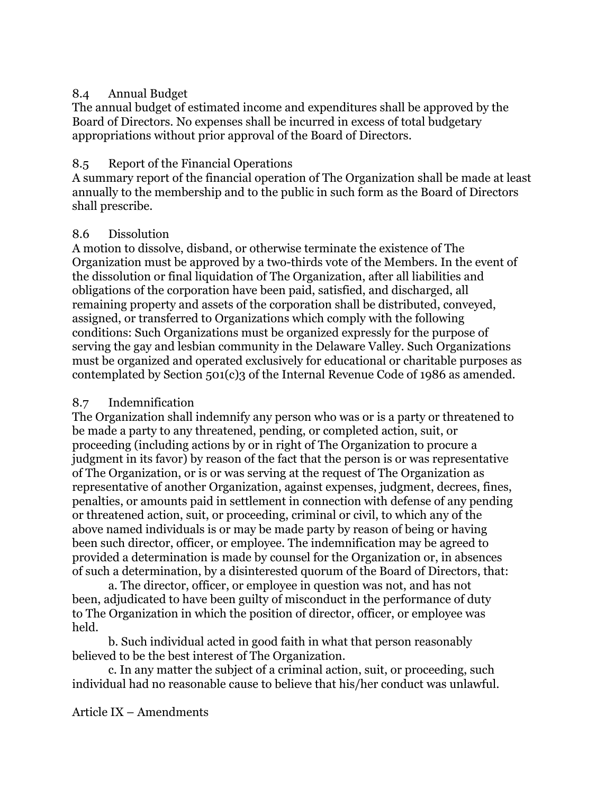### 8.4 Annual Budget

The annual budget of estimated income and expenditures shall be approved by the Board of Directors. No expenses shall be incurred in excess of total budgetary appropriations without prior approval of the Board of Directors.

#### 8.5 Report of the Financial Operations

A summary report of the financial operation of The Organization shall be made at least annually to the membership and to the public in such form as the Board of Directors shall prescribe.

### 8.6 Dissolution

A motion to dissolve, disband, or otherwise terminate the existence of The Organization must be approved by a two-thirds vote of the Members. In the event of the dissolution or final liquidation of The Organization, after all liabilities and obligations of the corporation have been paid, satisfied, and discharged, all remaining property and assets of the corporation shall be distributed, conveyed, assigned, or transferred to Organizations which comply with the following conditions: Such Organizations must be organized expressly for the purpose of serving the gay and lesbian community in the Delaware Valley. Such Organizations must be organized and operated exclusively for educational or charitable purposes as contemplated by Section 501(c)3 of the Internal Revenue Code of 1986 as amended.

### 8.7 Indemnification

The Organization shall indemnify any person who was or is a party or threatened to be made a party to any threatened, pending, or completed action, suit, or proceeding (including actions by or in right of The Organization to procure a judgment in its favor) by reason of the fact that the person is or was representative of The Organization, or is or was serving at the request of The Organization as representative of another Organization, against expenses, judgment, decrees, fines, penalties, or amounts paid in settlement in connection with defense of any pending or threatened action, suit, or proceeding, criminal or civil, to which any of the above named individuals is or may be made party by reason of being or having been such director, officer, or employee. The indemnification may be agreed to provided a determination is made by counsel for the Organization or, in absences of such a determination, by a disinterested quorum of the Board of Directors, that:

a. The director, officer, or employee in question was not, and has not been, adjudicated to have been guilty of misconduct in the performance of duty to The Organization in which the position of director, officer, or employee was held.

b. Such individual acted in good faith in what that person reasonably believed to be the best interest of The Organization.

c. In any matter the subject of a criminal action, suit, or proceeding, such individual had no reasonable cause to believe that his/her conduct was unlawful.

Article IX – Amendments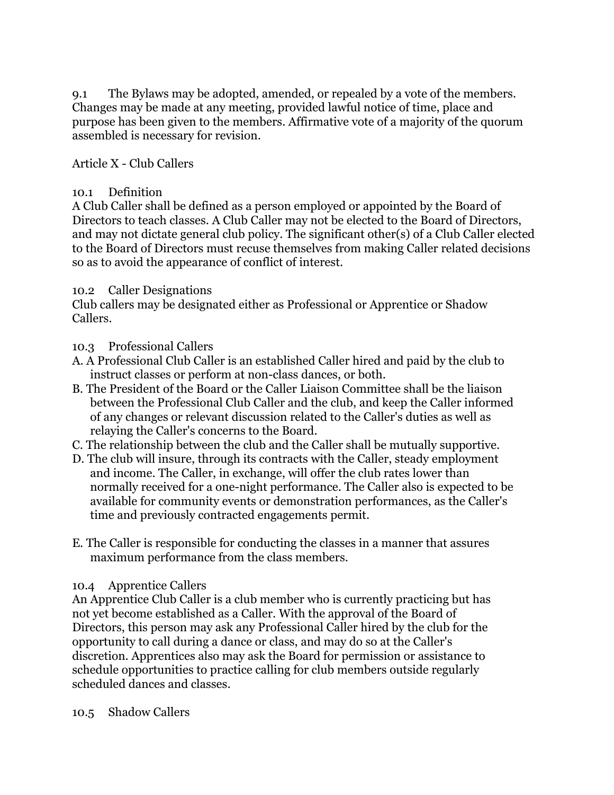9.1 The Bylaws may be adopted, amended, or repealed by a vote of the members. Changes may be made at any meeting, provided lawful notice of time, place and purpose has been given to the members. Affirmative vote of a majority of the quorum assembled is necessary for revision.

### Article X - Club Callers

#### 10.1 Definition

A Club Caller shall be defined as a person employed or appointed by the Board of Directors to teach classes. A Club Caller may not be elected to the Board of Directors, and may not dictate general club policy. The significant other(s) of a Club Caller elected to the Board of Directors must recuse themselves from making Caller related decisions so as to avoid the appearance of conflict of interest.

#### 10.2 Caller Designations

Club callers may be designated either as Professional or Apprentice or Shadow Callers.

### 10.3 Professional Callers

- A. A Professional Club Caller is an established Caller hired and paid by the club to instruct classes or perform at non-class dances, or both.
- B. The President of the Board or the Caller Liaison Committee shall be the liaison between the Professional Club Caller and the club, and keep the Caller informed of any changes or relevant discussion related to the Caller's duties as well as relaying the Caller's concerns to the Board.
- C. The relationship between the club and the Caller shall be mutually supportive.
- D. The club will insure, through its contracts with the Caller, steady employment and income. The Caller, in exchange, will offer the club rates lower than normally received for a one-night performance. The Caller also is expected to be available for community events or demonstration performances, as the Caller's time and previously contracted engagements permit.
- E. The Caller is responsible for conducting the classes in a manner that assures maximum performance from the class members.

### 10.4 Apprentice Callers

An Apprentice Club Caller is a club member who is currently practicing but has not yet become established as a Caller. With the approval of the Board of Directors, this person may ask any Professional Caller hired by the club for the opportunity to call during a dance or class, and may do so at the Caller's discretion. Apprentices also may ask the Board for permission or assistance to schedule opportunities to practice calling for club members outside regularly scheduled dances and classes.

#### 10.5 Shadow Callers